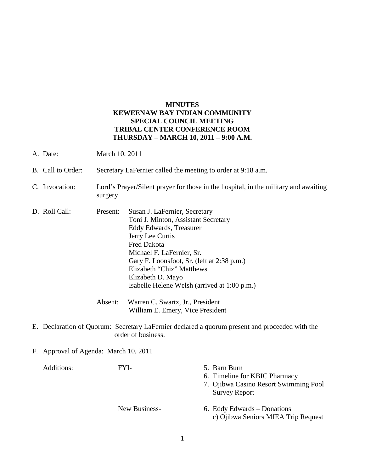## **MINUTES KEWEENAW BAY INDIAN COMMUNITY SPECIAL COUNCIL MEETING TRIBAL CENTER CONFERENCE ROOM THURSDAY – MARCH 10, 2011 – 9:00 A.M.**

- A. Date: March 10, 2011
- B. Call to Order: Secretary LaFernier called the meeting to order at 9:18 a.m.
- C. Invocation: Lord's Prayer/Silent prayer for those in the hospital, in the military and awaiting surgery
- D. Roll Call: Present: Susan J. LaFernier, Secretary Toni J. Minton, Assistant Secretary Eddy Edwards, Treasurer Jerry Lee Curtis Fred Dakota Michael F. LaFernier, Sr. Gary F. Loonsfoot, Sr. (left at 2:38 p.m.) Elizabeth "Chiz" Matthews Elizabeth D. Mayo Isabelle Helene Welsh (arrived at 1:00 p.m.)

 Absent: Warren C. Swartz, Jr., President William E. Emery, Vice President

- E. Declaration of Quorum: Secretary LaFernier declared a quorum present and proceeded with the order of business.
- F. Approval of Agenda: March 10, 2011

| Additions: | FYI-          | 5. Barn Burn<br>6. Timeline for KBIC Pharmacy<br>7. Ojibwa Casino Resort Swimming Pool<br><b>Survey Report</b> |
|------------|---------------|----------------------------------------------------------------------------------------------------------------|
|            | New Business- | 6. Eddy Edwards – Donations<br>c) Ojibwa Seniors MIEA Trip Request                                             |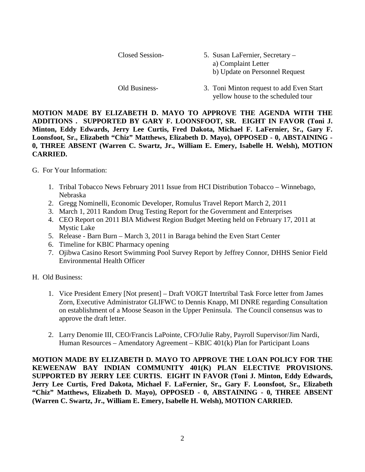| Closed Session- | 5. Susan LaFernier, Secretary –<br>a) Complaint Letter<br>b) Update on Personnel Request |  |
|-----------------|------------------------------------------------------------------------------------------|--|
| Old Business-   | 3. Toni Minton request to add Even Start                                                 |  |

yellow house to the scheduled tour

**MOTION MADE BY ELIZABETH D. MAYO TO APPROVE THE AGENDA WITH THE ADDITIONS . SUPPORTED BY GARY F. LOONSFOOT, SR. EIGHT IN FAVOR (Toni J. Minton, Eddy Edwards, Jerry Lee Curtis, Fred Dakota, Michael F. LaFernier, Sr., Gary F. Loonsfoot, Sr., Elizabeth "Chiz" Matthews, Elizabeth D. Mayo), OPPOSED - 0, ABSTAINING - 0, THREE ABSENT (Warren C. Swartz, Jr., William E. Emery, Isabelle H. Welsh), MOTION CARRIED.**

## G. For Your Information:

- 1. Tribal Tobacco News February 2011 Issue from HCI Distribution Tobacco Winnebago, Nebraska
- 2. Gregg Nominelli, Economic Developer, Romulus Travel Report March 2, 2011
- 3. March 1, 2011 Random Drug Testing Report for the Government and Enterprises
- 4. CEO Report on 2011 BIA Midwest Region Budget Meeting held on February 17, 2011 at Mystic Lake
- 5. Release Barn Burn March 3, 2011 in Baraga behind the Even Start Center
- 6. Timeline for KBIC Pharmacy opening
- 7. Ojibwa Casino Resort Swimming Pool Survey Report by Jeffrey Connor, DHHS Senior Field Environmental Health Officer
- H. Old Business:
	- 1. Vice President Emery [Not present] Draft VOIGT Intertribal Task Force letter from James Zorn, Executive Administrator GLIFWC to Dennis Knapp, MI DNRE regarding Consultation on establishment of a Moose Season in the Upper Peninsula. The Council consensus was to approve the draft letter.
	- 2. Larry Denomie III, CEO/Francis LaPointe, CFO/Julie Raby, Payroll Supervisor/Jim Nardi, Human Resources – Amendatory Agreement – KBIC 401(k) Plan for Participant Loans

**MOTION MADE BY ELIZABETH D. MAYO TO APPROVE THE LOAN POLICY FOR THE KEWEENAW BAY INDIAN COMMUNITY 401(K) PLAN ELECTIVE PROVISIONS. SUPPORTED BY JERRY LEE CURTIS. EIGHT IN FAVOR (Toni J. Minton, Eddy Edwards, Jerry Lee Curtis, Fred Dakota, Michael F. LaFernier, Sr., Gary F. Loonsfoot, Sr., Elizabeth "Chiz" Matthews, Elizabeth D. Mayo), OPPOSED - 0, ABSTAINING - 0, THREE ABSENT (Warren C. Swartz, Jr., William E. Emery, Isabelle H. Welsh), MOTION CARRIED.**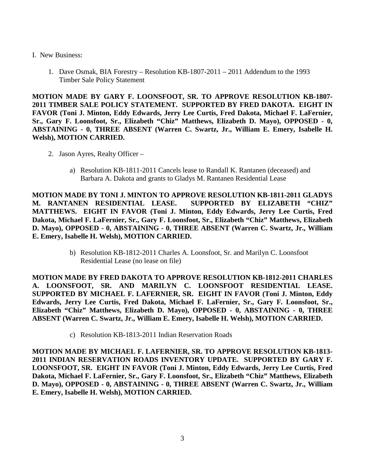- I. New Business:
	- 1. Dave Osmak, BIA Forestry Resolution KB-1807-2011 2011 Addendum to the 1993 Timber Sale Policy Statement

**MOTION MADE BY GARY F. LOONSFOOT, SR. TO APPROVE RESOLUTION KB-1807- 2011 TIMBER SALE POLICY STATEMENT. SUPPORTED BY FRED DAKOTA. EIGHT IN FAVOR (Toni J. Minton, Eddy Edwards, Jerry Lee Curtis, Fred Dakota, Michael F. LaFernier, Sr., Gary F. Loonsfoot, Sr., Elizabeth "Chiz" Matthews, Elizabeth D. Mayo), OPPOSED - 0, ABSTAINING - 0, THREE ABSENT (Warren C. Swartz, Jr., William E. Emery, Isabelle H. Welsh), MOTION CARRIED.**

- 2. Jason Ayres, Realty Officer
	- a) Resolution KB-1811-2011 Cancels lease to Randall K. Rantanen (deceased) and Barbara A. Dakota and grants to Gladys M. Rantanen Residential Lease

**MOTION MADE BY TONI J. MINTON TO APPROVE RESOLUTION KB-1811-2011 GLADYS M. RANTANEN RESIDENTIAL LEASE. SUPPORTED BY ELIZABETH "CHIZ" MATTHEWS. EIGHT IN FAVOR (Toni J. Minton, Eddy Edwards, Jerry Lee Curtis, Fred Dakota, Michael F. LaFernier, Sr., Gary F. Loonsfoot, Sr., Elizabeth "Chiz" Matthews, Elizabeth D. Mayo), OPPOSED - 0, ABSTAINING - 0, THREE ABSENT (Warren C. Swartz, Jr., William E. Emery, Isabelle H. Welsh), MOTION CARRIED.**

> b) Resolution KB-1812-2011 Charles A. Loonsfoot, Sr. and Marilyn C. Loonsfoot Residential Lease (no lease on file)

**MOTION MADE BY FRED DAKOTA TO APPROVE RESOLUTION KB-1812-2011 CHARLES A. LOONSFOOT, SR. AND MARILYN C. LOONSFOOT RESIDENTIAL LEASE. SUPPORTED BY MICHAEL F. LAFERNIER, SR. EIGHT IN FAVOR (Toni J. Minton, Eddy Edwards, Jerry Lee Curtis, Fred Dakota, Michael F. LaFernier, Sr., Gary F. Loonsfoot, Sr., Elizabeth "Chiz" Matthews, Elizabeth D. Mayo), OPPOSED - 0, ABSTAINING - 0, THREE ABSENT (Warren C. Swartz, Jr., William E. Emery, Isabelle H. Welsh), MOTION CARRIED.**

c) Resolution KB-1813-2011 Indian Reservation Roads

**MOTION MADE BY MICHAEL F. LAFERNIER, SR. TO APPROVE RESOLUTION KB-1813- 2011 INDIAN RESERVATION ROADS INVENTORY UPDATE. SUPPORTED BY GARY F. LOONSFOOT, SR. EIGHT IN FAVOR (Toni J. Minton, Eddy Edwards, Jerry Lee Curtis, Fred Dakota, Michael F. LaFernier, Sr., Gary F. Loonsfoot, Sr., Elizabeth "Chiz" Matthews, Elizabeth D. Mayo), OPPOSED - 0, ABSTAINING - 0, THREE ABSENT (Warren C. Swartz, Jr., William E. Emery, Isabelle H. Welsh), MOTION CARRIED.**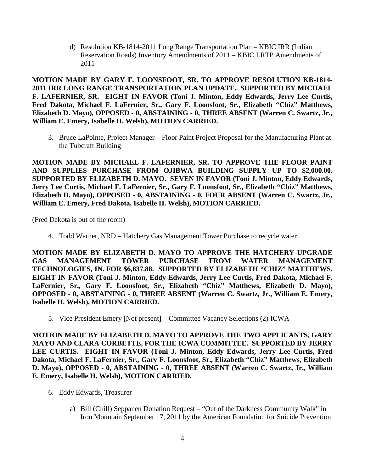d) Resolution KB-1814-2011 Long Range Transportation Plan – KBIC IRR (Indian Reservation Roads) Inventory Amendments of 2011 – KBIC LRTP Amendments of 2011

**MOTION MADE BY GARY F. LOONSFOOT, SR. TO APPROVE RESOLUTION KB-1814- 2011 IRR LONG RANGE TRANSPORTATION PLAN UPDATE. SUPPORTED BY MICHAEL F. LAFERNIER, SR. EIGHT IN FAVOR (Toni J. Minton, Eddy Edwards, Jerry Lee Curtis, Fred Dakota, Michael F. LaFernier, Sr., Gary F. Loonsfoot, Sr., Elizabeth "Chiz" Matthews, Elizabeth D. Mayo), OPPOSED - 0, ABSTAINING - 0, THREE ABSENT (Warren C. Swartz, Jr., William E. Emery, Isabelle H. Welsh), MOTION CARRIED.**

3. Bruce LaPointe, Project Manager – Floor Paint Project Proposal for the Manufacturing Plant at the Tubcraft Building

**MOTION MADE BY MICHAEL F. LAFERNIER, SR. TO APPROVE THE FLOOR PAINT AND SUPPLIES PURCHASE FROM OJIBWA BUILDING SUPPLY UP TO \$2,000.00. SUPPORTED BY ELIZABETH D. MAYO. SEVEN IN FAVOR (Toni J. Minton, Eddy Edwards, Jerry Lee Curtis, Michael F. LaFernier, Sr., Gary F. Loonsfoot, Sr., Elizabeth "Chiz" Matthews, Elizabeth D. Mayo), OPPOSED - 0, ABSTAINING - 0, FOUR ABSENT (Warren C. Swartz, Jr., William E. Emery, Fred Dakota, Isabelle H. Welsh), MOTION CARRIED.**

(Fred Dakota is out of the room)

4. Todd Warner, NRD – Hatchery Gas Management Tower Purchase to recycle water

**MOTION MADE BY ELIZABETH D. MAYO TO APPROVE THE HATCHERY UPGRADE GAS MANAGEMENT TOWER PURCHASE FROM WATER MANAGEMENT TECHNOLOGIES, IN. FOR \$6,837.88. SUPPORTED BY ELIZABETH "CHIZ" MATTHEWS. EIGHT IN FAVOR (Toni J. Minton, Eddy Edwards, Jerry Lee Curtis, Fred Dakota, Michael F. LaFernier, Sr., Gary F. Loonsfoot, Sr., Elizabeth "Chiz" Matthews, Elizabeth D. Mayo), OPPOSED - 0, ABSTAINING - 0, THREE ABSENT (Warren C. Swartz, Jr., William E. Emery, Isabelle H. Welsh), MOTION CARRIED.**

5. Vice President Emery [Not present] – Committee Vacancy Selections (2) ICWA

**MOTION MADE BY ELIZABETH D. MAYO TO APPROVE THE TWO APPLICANTS, GARY MAYO AND CLARA CORBETTE, FOR THE ICWA COMMITTEE. SUPPORTED BY JERRY LEE CURTIS. EIGHT IN FAVOR (Toni J. Minton, Eddy Edwards, Jerry Lee Curtis, Fred Dakota, Michael F. LaFernier, Sr., Gary F. Loonsfoot, Sr., Elizabeth "Chiz" Matthews, Elizabeth D. Mayo), OPPOSED - 0, ABSTAINING - 0, THREE ABSENT (Warren C. Swartz, Jr., William E. Emery, Isabelle H. Welsh), MOTION CARRIED.**

- 6. Eddy Edwards, Treasurer
	- a) Bill (Chill) Seppanen Donation Request "Out of the Darkness Community Walk" in Iron Mountain September 17, 2011 by the American Foundation for Suicide Prevention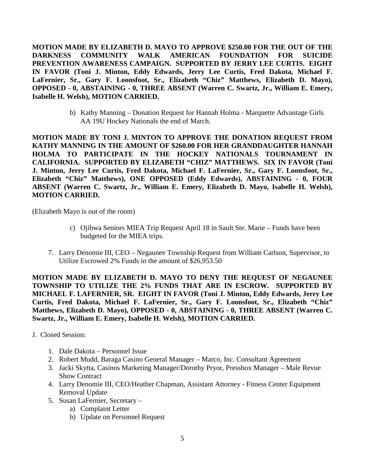**MOTION MADE BY ELIZABETH D. MAYO TO APPROVE \$250.00 FOR THE OUT OF THE DARKNESS COMMUNITY WALK AMERICAN FOUNDATION FOR SUICIDE PREVENTION AWARENESS CAMPAIGN. SUPPORTED BY JERRY LEE CURTIS. EIGHT IN FAVOR (Toni J. Minton, Eddy Edwards, Jerry Lee Curtis, Fred Dakota, Michael F. LaFernier, Sr., Gary F. Loonsfoot, Sr., Elizabeth "Chiz" Matthews, Elizabeth D. Mayo), OPPOSED - 0, ABSTAINING - 0, THREE ABSENT (Warren C. Swartz, Jr., William E. Emery, Isabelle H. Welsh), MOTION CARRIED.**

> b) Kathy Manning – Donation Request for Hannah Holma - Marquette Advantage Girls AA 19U Hockey Nationals the end of March.

**MOTION MADE BY TONI J. MINTON TO APPROVE THE DONATION REQUEST FROM KATHY MANNING IN THE AMOUNT OF \$260.00 FOR HER GRANDDAUGHTER HANNAH HOLMA TO PARTICIPATE IN THE HOCKEY NATIONALS TOURNAMENT IN CALIFORNIA. SUPPORTED BY ELIZABETH "CHIZ" MATTHEWS. SIX IN FAVOR (Toni J. Minton, Jerry Lee Curtis, Fred Dakota, Michael F. LaFernier, Sr., Gary F. Loonsfoot, Sr., Elizabeth "Chiz" Matthews), ONE OPPOSED (Eddy Edwards), ABSTAINING - 0, FOUR ABSENT (Warren C. Swartz, Jr., William E. Emery, Elizabeth D. Mayo, Isabelle H. Welsh), MOTION CARRIED.**

(Elizabeth Mayo is out of the room)

- c) Ojibwa Seniors MIEA Trip Request April 18 in Sault Ste. Marie Funds have been budgeted for the MIEA trips.
- 7. Larry Denomie III, CEO Negaunee Township Request from William Carlson, Supervisor, to Utilize Escrowed 2% Funds in the amount of \$26,953.50

**MOTION MADE BY ELIZABETH D. MAYO TO DENY THE REQUEST OF NEGAUNEE TOWNSHIP TO UTILIZE THE 2% FUNDS THAT ARE IN ESCROW. SUPPORTED BY MICHAEL F. LAFERNIER, SR. EIGHT IN FAVOR (Toni J. Minton, Eddy Edwards, Jerry Lee Curtis, Fred Dakota, Michael F. LaFernier, Sr., Gary F. Loonsfoot, Sr., Elizabeth "Chiz" Matthews, Elizabeth D. Mayo), OPPOSED - 0, ABSTAINING - 0, THREE ABSENT (Warren C. Swartz, Jr., William E. Emery, Isabelle H. Welsh), MOTION CARRIED.**

- J. Closed Session:
	- 1. Dale Dakota Personnel Issue
	- 2. Robert Mudd, Baraga Casino General Manager Marco, Inc. Consultant Agreement
	- 3. Jacki Skytta, Casinos Marketing Manager/Dorothy Pryor, Pressbox Manager Male Revue Show Contract
	- 4. Larry Denomie III, CEO/Heather Chapman, Assistant Attorney Fitness Center Equipment Removal Update
	- 5. Susan LaFernier, Secretary
		- a) Complaint Letter
		- b) Update on Personnel Request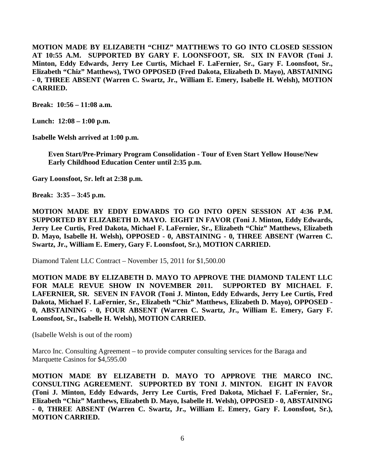**MOTION MADE BY ELIZABETH "CHIZ" MATTHEWS TO GO INTO CLOSED SESSION AT 10:55 A.M. SUPPORTED BY GARY F. LOONSFOOT, SR. SIX IN FAVOR (Toni J. Minton, Eddy Edwards, Jerry Lee Curtis, Michael F. LaFernier, Sr., Gary F. Loonsfoot, Sr., Elizabeth "Chiz" Matthews), TWO OPPOSED (Fred Dakota, Elizabeth D. Mayo), ABSTAINING - 0, THREE ABSENT (Warren C. Swartz, Jr., William E. Emery, Isabelle H. Welsh), MOTION CARRIED.**

**Break: 10:56 – 11:08 a.m.** 

**Lunch: 12:08 – 1:00 p.m.** 

**Isabelle Welsh arrived at 1:00 p.m.** 

**Even Start/Pre-Primary Program Consolidation - Tour of Even Start Yellow House/New Early Childhood Education Center until 2:35 p.m.**

**Gary Loonsfoot, Sr. left at 2:38 p.m.** 

**Break: 3:35 – 3:45 p.m.** 

**MOTION MADE BY EDDY EDWARDS TO GO INTO OPEN SESSION AT 4:36 P.M. SUPPORTED BY ELIZABETH D. MAYO. EIGHT IN FAVOR (Toni J. Minton, Eddy Edwards, Jerry Lee Curtis, Fred Dakota, Michael F. LaFernier, Sr., Elizabeth "Chiz" Matthews, Elizabeth D. Mayo, Isabelle H. Welsh), OPPOSED - 0, ABSTAINING - 0, THREE ABSENT (Warren C. Swartz, Jr., William E. Emery, Gary F. Loonsfoot, Sr.), MOTION CARRIED.** 

Diamond Talent LLC Contract – November 15, 2011 for \$1,500.00

**MOTION MADE BY ELIZABETH D. MAYO TO APPROVE THE DIAMOND TALENT LLC FOR MALE REVUE SHOW IN NOVEMBER 2011. SUPPORTED BY MICHAEL F. LAFERNIER, SR. SEVEN IN FAVOR (Toni J. Minton, Eddy Edwards, Jerry Lee Curtis, Fred Dakota, Michael F. LaFernier, Sr., Elizabeth "Chiz" Matthews, Elizabeth D. Mayo), OPPOSED - 0, ABSTAINING - 0, FOUR ABSENT (Warren C. Swartz, Jr., William E. Emery, Gary F. Loonsfoot, Sr., Isabelle H. Welsh), MOTION CARRIED.**

(Isabelle Welsh is out of the room)

Marco Inc. Consulting Agreement – to provide computer consulting services for the Baraga and Marquette Casinos for \$4,595.00

**MOTION MADE BY ELIZABETH D. MAYO TO APPROVE THE MARCO INC. CONSULTING AGREEMENT. SUPPORTED BY TONI J. MINTON. EIGHT IN FAVOR (Toni J. Minton, Eddy Edwards, Jerry Lee Curtis, Fred Dakota, Michael F. LaFernier, Sr., Elizabeth "Chiz" Matthews, Elizabeth D. Mayo, Isabelle H. Welsh), OPPOSED - 0, ABSTAINING - 0, THREE ABSENT (Warren C. Swartz, Jr., William E. Emery, Gary F. Loonsfoot, Sr.), MOTION CARRIED.**